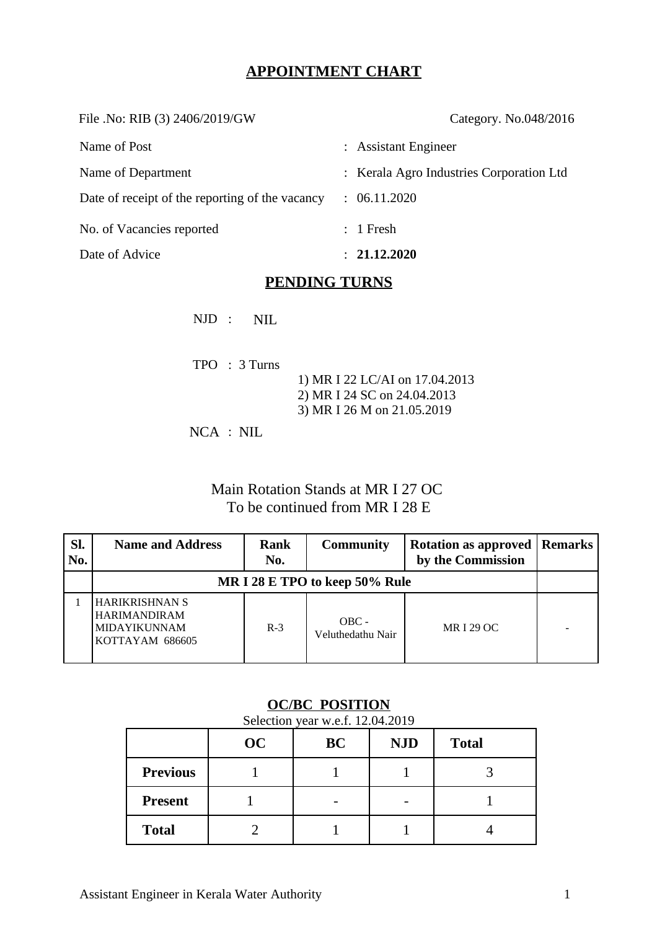# **APPOINTMENT CHART**

File .No: RIB (3) 2406/2019/GW Category. No.048/2016 Name of Post  $\qquad \qquad :$  Assistant Engineer Name of Department : Kerala Agro Industries Corporation Ltd

Date of receipt of the reporting of the vacancy : 06.11.2020

No. of Vacancies reported : 1 Fresh

Date of Advice : **21.12.2020** 

## **PENDING TURNS**

NJD : NIL

| $TPO$ : 3 Turns |                                |
|-----------------|--------------------------------|
|                 | 1) MR I 22 LC/AI on 17.04.2013 |
|                 | 2) MR I 24 SC on 24.04.2013    |
|                 | 3) MR I 26 M on 21.05.2019     |
|                 |                                |

NCA : NIL

# Main Rotation Stands at MR I 27 OC To be continued from MR I 28 E

| Sl.<br>No. | <b>Name and Address</b>                                                         | <b>Rank</b><br>No. | <b>Community</b>             | <b>Rotation as approved   Remarks</b><br>by the Commission |  |  |  |  |
|------------|---------------------------------------------------------------------------------|--------------------|------------------------------|------------------------------------------------------------|--|--|--|--|
|            | MR I 28 E TPO to keep 50% Rule                                                  |                    |                              |                                                            |  |  |  |  |
|            | <b>HARIKRISHNAN S</b><br><b>HARIMANDIRAM</b><br>MIDAYIKUNNAM<br>KOTTAYAM 686605 | $R-3$              | $OBC -$<br>Veluthedathu Nair | MR I 29 OC                                                 |  |  |  |  |

## **OC/BC POSITION**

Selection year w.e.f. 12.04.2019

|                 | OC | BC | <b>NJD</b>               | <b>Total</b> |
|-----------------|----|----|--------------------------|--------------|
| <b>Previous</b> |    |    |                          | ┑            |
| <b>Present</b>  |    |    | $\overline{\phantom{0}}$ |              |
| <b>Total</b>    |    |    |                          |              |